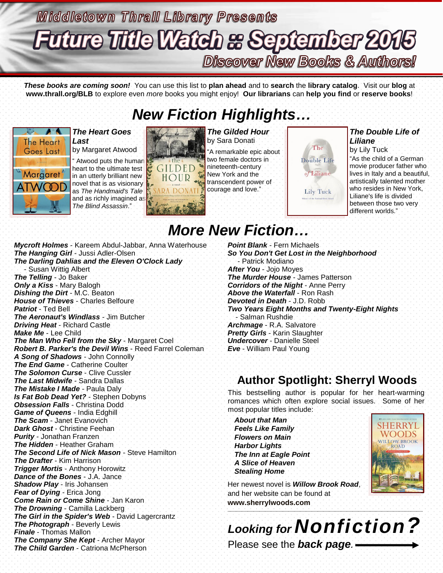# **Middletown Thrall Library Presents Future Title Watch & September 2015 Discover New Books & Authors!**

*These books are coming soon!* You can use this list to **plan ahead** and to **search** the **library catalog**. Visit our **blog** at **www.thrall.org/BLB** to explore even *more* books you might enjoy! **Our librarians** can **help you find** or **reserve books**!

## *New Fiction Highlights…*



### *The Heart Goes Last*

by Margaret Atwood

Atwood puts the human heart to the ultimate test in an utterly brilliant new novel that is as visionary as *The Handmaid's Tale* as *increased* as  $\frac{1}{2}$ *The Blind Assassin*."



*The Gilded Hour* by Sara Donati

"A remarkable epic about two female doctors in nineteenth-century New York and the transcendent power of courage and love."



### *The Double Life of Liliane*

by Lily Tuck "As the child of a German movie producer father who lives in Italy and a beautiful, artistically talented mother who resides in New York, Liliane's life is divided between those two very different worlds."

# *More New Fiction…*

*Mycroft Holmes* - Kareem Abdul-Jabbar, Anna Waterhouse *The Hanging Girl* - Jussi Adler-Olsen *The Darling Dahlias and the Eleven O'Clock Lady* - Susan Wittig Albert *The Telling* - Jo Baker *Only a Kiss* - Mary Balogh *Dishing the Dirt* - M.C. Beaton *House of Thieves* - Charles Belfoure *Patriot* - Ted Bell *The Aeronaut's Windlass* - Jim Butcher *Driving Heat* - Richard Castle *Make Me* - Lee Child *The Man Who Fell from the Sky* - Margaret Coel *Robert B. Parker's the Devil Wins* - Reed Farrel Coleman *A Song of Shadows* - John Connolly *The End Game* - Catherine Coulter *The Solomon Curse* - Clive Cussler *The Last Midwife* - Sandra Dallas *The Mistake I Made* - Paula Daly *Is Fat Bob Dead Yet?* - Stephen Dobyns *Obsession Falls* - Christina Dodd *Game of Queens* - India Edghill *The Scam* - Janet Evanovich *Dark Ghost* - Christine Feehan *Purity* - Jonathan Franzen *The Hidden* - Heather Graham *The Second Life of Nick Mason* - Steve Hamilton *The Drafter* - Kim Harrison *Trigger Mortis* - Anthony Horowitz *Dance of the Bones* - J.A. Jance *Shadow Play* - Iris Johansen *Fear of Dying* - Erica Jong *Come Rain or Come Shine* - Jan Karon *The Drowning* - Camilla Lackberg *The Girl in the Spider's Web* - David Lagercrantz *The Photograph* - Beverly Lewis *Finale* - Thomas Mallon *The Company She Kept* - Archer Mayor *The Child Garden* - Catriona McPherson

*Point Blank* - Fern Michaels *So You Don't Get Lost in the Neighborhood* - Patrick Modiano *After You* - Jojo Moyes *The Murder House* - James Patterson *Corridors of the Night* - Anne Perry *Above the Waterfall* - Ron Rash *Devoted in Death* - J.D. Robb *Two Years Eight Months and Twenty-Eight Nights* - Salman Rushdie *Archmage* - R.A. Salvatore *Pretty Girls* - Karin Slaughter *Undercover* - Danielle Steel *Eve* - William Paul Young

### **Author Spotlight: Sherryl Woods**

This bestselling author is popular for her heart-warming romances which often explore social issues. Some of her most popular titles include:

*About that Man Feels Like Family Flowers on Main Harbor Lights The Inn at Eagle Point A Slice of Heaven Stealing Home*



Her newest novel is *Willow Brook Road*, and her website can be found at **[www.sherrylwoods.com](http://www.sherrylwoods.com/)**  $\mathcal{L}_\mathcal{L}$  , and the set of the set of the set of the set of the set of the set of the set of the set of the set of the set of the set of the set of the set of the set of the set of the set of the set of the set of th

*Looking for Nonfiction?* Please see the *back page.*